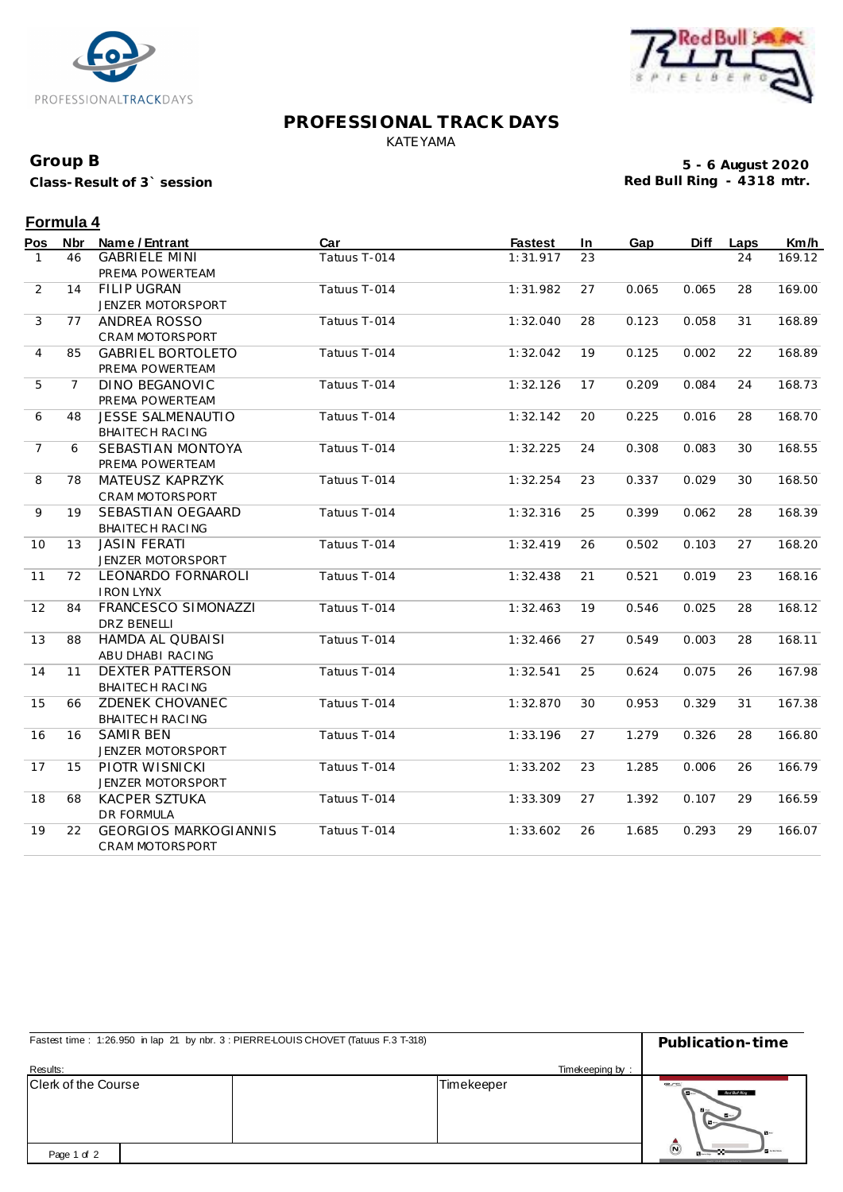



#### **PROFESSIONAL TRACK DAYS** KATEYAMA

#### **Group B**

**Class-Result of 3` session**

**5 - 6 August 2020 Red Bull Ring - 4318 mtr.**

## **Formula 4**

| Pos            | Nbr            | Name / Entrant               | Car          | <b>Fastest</b> | In | Gap   | <b>Diff</b> | Laps | Km/h   |
|----------------|----------------|------------------------------|--------------|----------------|----|-------|-------------|------|--------|
| $\mathbf{1}$   | 46             | <b>GABRIELE MINI</b>         | Tatuus T-014 | 1:31.917       | 23 |       |             | 24   | 169.12 |
|                |                | PREMA POWERTEAM              |              |                |    |       |             |      |        |
| $\overline{2}$ | 14             | <b>FILIP UGRAN</b>           | Tatuus T-014 | 1:31.982       | 27 | 0.065 | 0.065       | 28   | 169.00 |
|                |                | JENZER MOTORSPORT            |              |                |    |       |             |      |        |
| 3              | 77             | ANDREA ROSSO                 | Tatuus T-014 | 1:32.040       | 28 | 0.123 | 0.058       | 31   | 168.89 |
|                |                | CRAM MOTORSPORT              |              |                |    |       |             |      |        |
| 4              | 85             | <b>GABRIEL BORTOLETO</b>     | Tatuus T-014 | 1:32.042       | 19 | 0.125 | 0.002       | 22   | 168.89 |
|                |                | PREMA POWERTEAM              |              |                |    |       |             |      |        |
| 5              | $\overline{7}$ | <b>DINO BEGANOVIC</b>        | Tatuus T-014 | 1:32.126       | 17 | 0.209 | 0.084       | 24   | 168.73 |
|                |                | PREMA POWERTEAM              |              |                |    |       |             |      |        |
| 6              | 48             | <b>JESSE SALMENAUTIO</b>     | Tatuus T-014 | 1:32.142       | 20 | 0.225 | 0.016       | 28   | 168.70 |
|                |                | <b>BHAITECH RACING</b>       |              |                |    |       |             |      |        |
| $\overline{7}$ | 6              | SEBASTIAN MONTOYA            | Tatuus T-014 | 1:32.225       | 24 | 0.308 | 0.083       | 30   | 168.55 |
|                |                | PREMA POWERTEAM              |              |                |    |       |             |      |        |
| 8              | 78             | MATEUSZ KAPRZYK              | Tatuus T-014 | 1:32.254       | 23 | 0.337 | 0.029       | 30   | 168.50 |
|                |                | CRAM MOTORSPORT              |              |                |    |       |             |      |        |
| 9              | 19             | SEBASTIAN OEGAARD            | Tatuus T-014 | 1:32.316       | 25 | 0.399 | 0.062       | 28   | 168.39 |
|                |                | BHAITECH RACING              |              |                |    |       |             |      |        |
| 10             | 13             | <b>JASIN FERATI</b>          | Tatuus T-014 | 1:32.419       | 26 | 0.502 | 0.103       | 27   | 168.20 |
|                |                | JENZER MOTORSPORT            |              |                |    |       |             |      |        |
| 11             | 72             | LEONARDO FORNAROLI           | Tatuus T-014 | 1:32.438       | 21 | 0.521 | 0.019       | 23   | 168.16 |
|                |                | <b>IRON LYNX</b>             |              |                |    |       |             |      |        |
| 12             | 84             | FRANCESCO SIMONAZZI          | Tatuus T-014 | 1:32.463       | 19 | 0.546 | 0.025       | 28   | 168.12 |
|                |                | DRZ BENELLI                  |              |                |    |       |             |      |        |
| 13             | 88             | <b>HAMDA AL QUBAISI</b>      | Tatuus T-014 | 1:32.466       | 27 | 0.549 | 0.003       | 28   | 168.11 |
|                |                | ABU DHABI RACING             |              |                |    |       |             |      |        |
| 14             | 11             | <b>DEXTER PATTERSON</b>      | Tatuus T-014 | 1:32.541       | 25 | 0.624 | 0.075       | 26   | 167.98 |
|                |                | <b>BHAITECH RACING</b>       |              |                |    |       |             |      |        |
| 15             | 66             | ZDENEK CHOVANEC              | Tatuus T-014 | 1:32.870       | 30 | 0.953 | 0.329       | 31   | 167.38 |
|                |                | <b>BHAITECH RACING</b>       |              |                |    |       |             |      |        |
| 16             | 16             | <b>SAMIR BEN</b>             | Tatuus T-014 | 1:33.196       | 27 | 1.279 | 0.326       | 28   | 166.80 |
|                |                | JENZER MOTORSPORT            |              |                |    |       |             |      |        |
| 17             | 15             | PIOTR WISNICKI               | Tatuus T-014 | 1:33.202       | 23 | 1.285 | 0.006       | 26   | 166.79 |
|                |                | JENZER MOTORSPORT            |              |                |    |       |             |      |        |
| 18             | 68             | <b>KACPER SZTUKA</b>         | Tatuus T-014 | 1:33.309       | 27 | 1.392 | 0.107       | 29   | 166.59 |
|                |                | DR FORMULA                   |              |                |    |       |             |      |        |
| 19             | 22             | <b>GEORGIOS MARKOGIANNIS</b> | Tatuus T-014 | 1:33.602       | 26 | 1.685 | 0.293       | 29   | 166.07 |
|                |                | CRAM MOTORSPORT              |              |                |    |       |             |      |        |

| Fastest time: 1:26.950 in lap 21 by nbr. 3 : PIERRE-LOUIS CHOVET (Tatuus F.3 T-318) |                 | Publication-time                                                     |  |  |
|-------------------------------------------------------------------------------------|-----------------|----------------------------------------------------------------------|--|--|
| Results:                                                                            | Timekeeping by: |                                                                      |  |  |
| Clerk of the Course                                                                 | Timekeeper      | exc<br>Red Bull Ring<br>$\mathbf{B}$<br><b>M-1</b><br>$-1$           |  |  |
| Page 1 of 2                                                                         |                 | $\tilde{\mathbf{C}}$<br><b>B</b> warm<br>FA (CIF VIS), #1 CPR/RFs To |  |  |